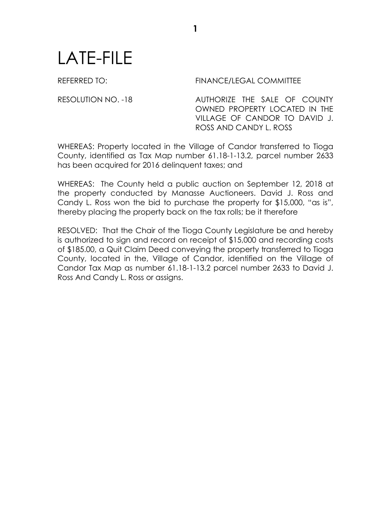## LATE-FILE

REFERRED TO: FINANCE/LEGAL COMMITTEE

RESOLUTION NO. -18 AUTHORIZE THE SALE OF COUNTY OWNED PROPERTY LOCATED IN THE VILLAGE OF CANDOR TO DAVID J. ROSS AND CANDY L. ROSS

WHEREAS: Property located in the Village of Candor transferred to Tioga County, identified as Tax Map number 61.18-1-13.2, parcel number 2633 has been acquired for 2016 delinquent taxes; and

**1**

WHEREAS: The County held a public auction on September 12, 2018 at the property conducted by Manasse Auctioneers. David J. Ross and Candy L. Ross won the bid to purchase the property for \$15,000, "as is", thereby placing the property back on the tax rolls; be it therefore

RESOLVED: That the Chair of the Tioga County Legislature be and hereby is authorized to sign and record on receipt of \$15,000 and recording costs of \$185.00, a Quit Claim Deed conveying the property transferred to Tioga County, located in the, Village of Candor, identified on the Village of Candor Tax Map as number 61.18-1-13.2 parcel number 2633 to David J. Ross And Candy L. Ross or assigns.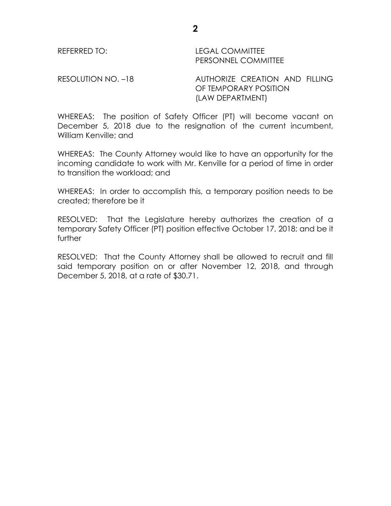REFERRED TO: LEGAL COMMITTEE PERSONNEL COMMITTEE

RESOLUTION NO. -18 AUTHORIZE CREATION AND FILLING OF TEMPORARY POSITION (LAW DEPARTMENT)

WHEREAS: The position of Safety Officer (PT) will become vacant on December 5, 2018 due to the resignation of the current incumbent, William Kenville; and

WHEREAS: The County Attorney would like to have an opportunity for the incoming candidate to work with Mr. Kenville for a period of time in order to transition the workload; and

WHEREAS: In order to accomplish this, a temporary position needs to be created; therefore be it

RESOLVED: That the Legislature hereby authorizes the creation of a temporary Safety Officer (PT) position effective October 17, 2018; and be it further

RESOLVED: That the County Attorney shall be allowed to recruit and fill said temporary position on or after November 12, 2018, and through December 5, 2018, at a rate of \$30.71.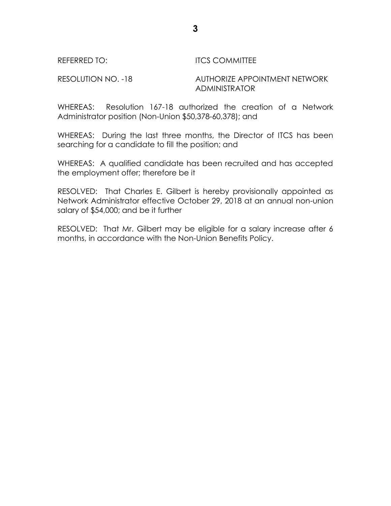## REFERRED TO: **ITCS COMMITTEE**

RESOLUTION NO. -18 AUTHORIZE APPOINTMENT NETWORK ADMINISTRATOR

WHEREAS: Resolution 167-18 authorized the creation of a Network Administrator position (Non-Union \$50,378-60,378); and

WHEREAS: During the last three months, the Director of ITCS has been searching for a candidate to fill the position; and

WHEREAS: A qualified candidate has been recruited and has accepted the employment offer; therefore be it

RESOLVED: That Charles E. Gilbert is hereby provisionally appointed as Network Administrator effective October 29, 2018 at an annual non-union salary of \$54,000; and be it further

RESOLVED: That Mr. Gilbert may be eligible for a salary increase after 6 months, in accordance with the Non-Union Benefits Policy.